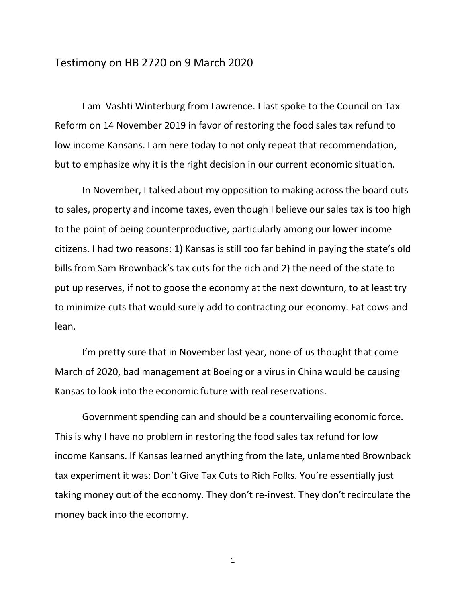## Testimony on HB 2720 on 9 March 2020

I am Vashti Winterburg from Lawrence. I last spoke to the Council on Tax Reform on 14 November 2019 in favor of restoring the food sales tax refund to low income Kansans. I am here today to not only repeat that recommendation, but to emphasize why it is the right decision in our current economic situation.

In November, I talked about my opposition to making across the board cuts to sales, property and income taxes, even though I believe our sales tax is too high to the point of being counterproductive, particularly among our lower income citizens. I had two reasons: 1) Kansas is still too far behind in paying the state's old bills from Sam Brownback's tax cuts for the rich and 2) the need of the state to put up reserves, if not to goose the economy at the next downturn, to at least try to minimize cuts that would surely add to contracting our economy. Fat cows and lean.

I'm pretty sure that in November last year, none of us thought that come March of 2020, bad management at Boeing or a virus in China would be causing Kansas to look into the economic future with real reservations.

Government spending can and should be a countervailing economic force. This is why I have no problem in restoring the food sales tax refund for low income Kansans. If Kansas learned anything from the late, unlamented Brownback tax experiment it was: Don't Give Tax Cuts to Rich Folks. You're essentially just taking money out of the economy. They don't re-invest. They don't recirculate the money back into the economy.

1